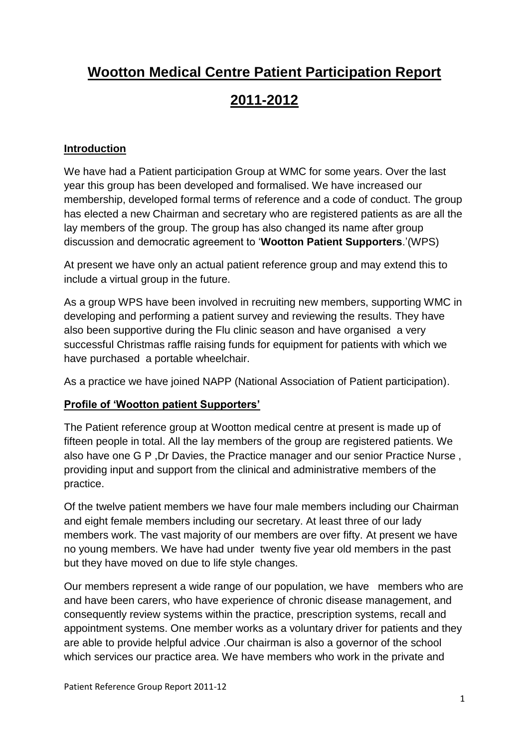## **Wootton Medical Centre Patient Participation Report**

## **2011-2012**

#### **Introduction**

We have had a Patient participation Group at WMC for some years. Over the last year this group has been developed and formalised. We have increased our membership, developed formal terms of reference and a code of conduct. The group has elected a new Chairman and secretary who are registered patients as are all the lay members of the group. The group has also changed its name after group discussion and democratic agreement to '**Wootton Patient Supporters**.'(WPS)

At present we have only an actual patient reference group and may extend this to include a virtual group in the future.

As a group WPS have been involved in recruiting new members, supporting WMC in developing and performing a patient survey and reviewing the results. They have also been supportive during the Flu clinic season and have organised a very successful Christmas raffle raising funds for equipment for patients with which we have purchased a portable wheelchair.

As a practice we have joined NAPP (National Association of Patient participation).

#### **Profile of 'Wootton patient Supporters'**

The Patient reference group at Wootton medical centre at present is made up of fifteen people in total. All the lay members of the group are registered patients. We also have one G P ,Dr Davies, the Practice manager and our senior Practice Nurse , providing input and support from the clinical and administrative members of the practice.

Of the twelve patient members we have four male members including our Chairman and eight female members including our secretary. At least three of our lady members work. The vast majority of our members are over fifty. At present we have no young members. We have had under twenty five year old members in the past but they have moved on due to life style changes.

Our members represent a wide range of our population, we have members who are and have been carers, who have experience of chronic disease management, and consequently review systems within the practice, prescription systems, recall and appointment systems. One member works as a voluntary driver for patients and they are able to provide helpful advice .Our chairman is also a governor of the school which services our practice area. We have members who work in the private and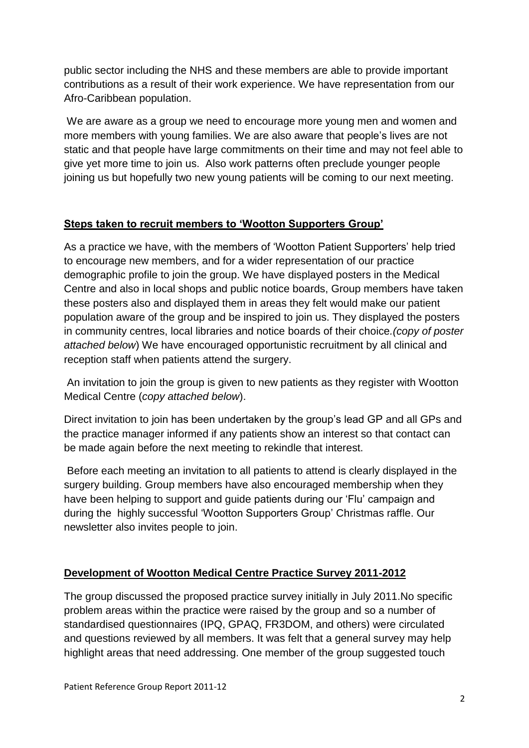public sector including the NHS and these members are able to provide important contributions as a result of their work experience. We have representation from our Afro-Caribbean population.

We are aware as a group we need to encourage more young men and women and more members with young families. We are also aware that people's lives are not static and that people have large commitments on their time and may not feel able to give yet more time to join us. Also work patterns often preclude younger people joining us but hopefully two new young patients will be coming to our next meeting.

#### **Steps taken to recruit members to 'Wootton Supporters Group'**

As a practice we have, with the members of 'Wootton Patient Supporters' help tried to encourage new members, and for a wider representation of our practice demographic profile to join the group. We have displayed posters in the Medical Centre and also in local shops and public notice boards, Group members have taken these posters also and displayed them in areas they felt would make our patient population aware of the group and be inspired to join us. They displayed the posters in community centres, local libraries and notice boards of their choice*.(copy of poster attached below*) We have encouraged opportunistic recruitment by all clinical and reception staff when patients attend the surgery.

An invitation to join the group is given to new patients as they register with Wootton Medical Centre (*copy attached below*).

Direct invitation to join has been undertaken by the group's lead GP and all GPs and the practice manager informed if any patients show an interest so that contact can be made again before the next meeting to rekindle that interest.

Before each meeting an invitation to all patients to attend is clearly displayed in the surgery building. Group members have also encouraged membership when they have been helping to support and guide patients during our 'Flu' campaign and during the highly successful 'Wootton Supporters Group' Christmas raffle. Our newsletter also invites people to join.

#### **Development of Wootton Medical Centre Practice Survey 2011-2012**

The group discussed the proposed practice survey initially in July 2011.No specific problem areas within the practice were raised by the group and so a number of standardised questionnaires (IPQ, GPAQ, FR3DOM, and others) were circulated and questions reviewed by all members. It was felt that a general survey may help highlight areas that need addressing. One member of the group suggested touch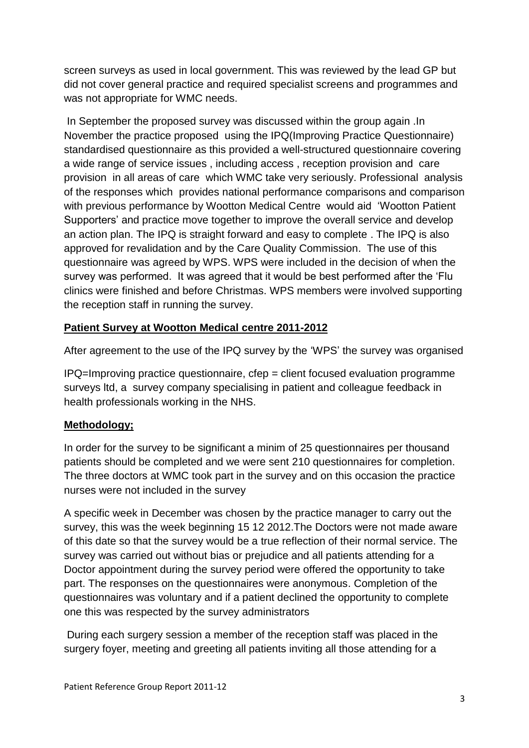screen surveys as used in local government. This was reviewed by the lead GP but did not cover general practice and required specialist screens and programmes and was not appropriate for WMC needs.

In September the proposed survey was discussed within the group again .In November the practice proposed using the IPQ(Improving Practice Questionnaire) standardised questionnaire as this provided a well-structured questionnaire covering a wide range of service issues , including access , reception provision and care provision in all areas of care which WMC take very seriously. Professional analysis of the responses which provides national performance comparisons and comparison with previous performance by Wootton Medical Centre would aid 'Wootton Patient Supporters' and practice move together to improve the overall service and develop an action plan. The IPQ is straight forward and easy to complete . The IPQ is also approved for revalidation and by the Care Quality Commission. The use of this questionnaire was agreed by WPS. WPS were included in the decision of when the survey was performed. It was agreed that it would be best performed after the 'Flu clinics were finished and before Christmas. WPS members were involved supporting the reception staff in running the survey.

#### **Patient Survey at Wootton Medical centre 2011-2012**

After agreement to the use of the IPQ survey by the 'WPS' the survey was organised

IPQ=Improving practice questionnaire, cfep = client focused evaluation programme surveys ltd, a survey company specialising in patient and colleague feedback in health professionals working in the NHS.

#### **Methodology;**

In order for the survey to be significant a minim of 25 questionnaires per thousand patients should be completed and we were sent 210 questionnaires for completion. The three doctors at WMC took part in the survey and on this occasion the practice nurses were not included in the survey

A specific week in December was chosen by the practice manager to carry out the survey, this was the week beginning 15 12 2012.The Doctors were not made aware of this date so that the survey would be a true reflection of their normal service. The survey was carried out without bias or prejudice and all patients attending for a Doctor appointment during the survey period were offered the opportunity to take part. The responses on the questionnaires were anonymous. Completion of the questionnaires was voluntary and if a patient declined the opportunity to complete one this was respected by the survey administrators

During each surgery session a member of the reception staff was placed in the surgery foyer, meeting and greeting all patients inviting all those attending for a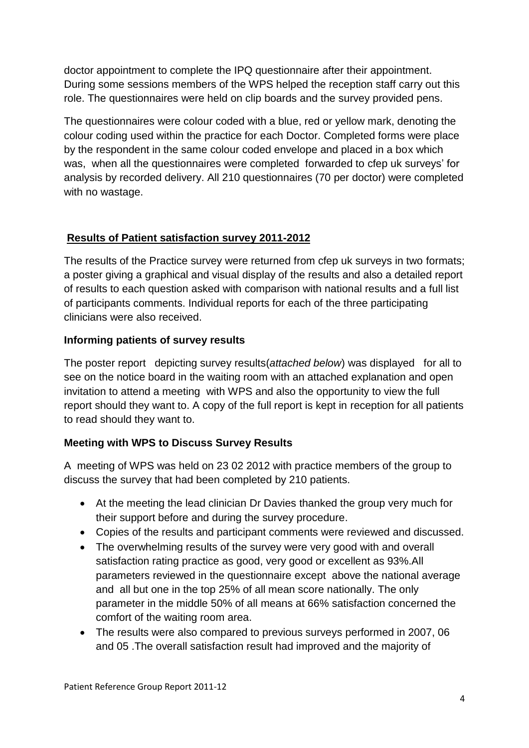doctor appointment to complete the IPQ questionnaire after their appointment. During some sessions members of the WPS helped the reception staff carry out this role. The questionnaires were held on clip boards and the survey provided pens.

The questionnaires were colour coded with a blue, red or yellow mark, denoting the colour coding used within the practice for each Doctor. Completed forms were place by the respondent in the same colour coded envelope and placed in a box which was, when all the questionnaires were completed forwarded to cfep uk surveys' for analysis by recorded delivery. All 210 questionnaires (70 per doctor) were completed with no wastage.

#### **Results of Patient satisfaction survey 2011-2012**

The results of the Practice survey were returned from cfep uk surveys in two formats; a poster giving a graphical and visual display of the results and also a detailed report of results to each question asked with comparison with national results and a full list of participants comments. Individual reports for each of the three participating clinicians were also received.

#### **Informing patients of survey results**

The poster report depicting survey results(*attached below*) was displayed for all to see on the notice board in the waiting room with an attached explanation and open invitation to attend a meeting with WPS and also the opportunity to view the full report should they want to. A copy of the full report is kept in reception for all patients to read should they want to.

#### **Meeting with WPS to Discuss Survey Results**

A meeting of WPS was held on 23 02 2012 with practice members of the group to discuss the survey that had been completed by 210 patients.

- At the meeting the lead clinician Dr Davies thanked the group very much for their support before and during the survey procedure.
- Copies of the results and participant comments were reviewed and discussed.
- The overwhelming results of the survey were very good with and overall satisfaction rating practice as good, very good or excellent as 93%.All parameters reviewed in the questionnaire except above the national average and all but one in the top 25% of all mean score nationally. The only parameter in the middle 50% of all means at 66% satisfaction concerned the comfort of the waiting room area.
- The results were also compared to previous surveys performed in 2007, 06 and 05 .The overall satisfaction result had improved and the majority of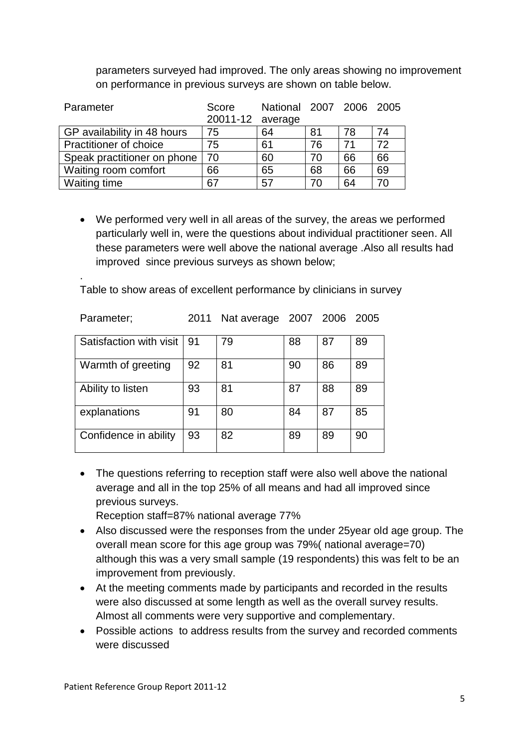parameters surveyed had improved. The only areas showing no improvement on performance in previous surveys are shown on table below.

| Parameter                     | Score<br>20011-12 average | National 2007 2006 2005 |    |    |    |
|-------------------------------|---------------------------|-------------------------|----|----|----|
| GP availability in 48 hours   | 75                        | 64                      | 81 | 78 | 74 |
| <b>Practitioner of choice</b> | 75                        | 61                      | 76 | 71 | 72 |
| Speak practitioner on phone   | 70                        | 60                      | 70 | 66 | 66 |
| Waiting room comfort          | 66                        | 65                      | 68 | 66 | 69 |
| Waiting time                  | 67                        | 57                      | 70 | 64 | 70 |

 We performed very well in all areas of the survey, the areas we performed particularly well in, were the questions about individual practitioner seen. All these parameters were well above the national average .Also all results had improved since previous surveys as shown below;

Table to show areas of excellent performance by clinicians in survey

| Parameter;              | 2011 | Nat average 2007 2006 2005 |    |    |    |
|-------------------------|------|----------------------------|----|----|----|
| Satisfaction with visit | 91   | 79                         | 88 | 87 | 89 |
| Warmth of greeting      | 92   | 81                         | 90 | 86 | 89 |
| Ability to listen       | 93   | 81                         | 87 | 88 | 89 |
| explanations            | 91   | 80                         | 84 | 87 | 85 |
| Confidence in ability   | 93   | 82                         | 89 | 89 | 90 |

• The questions referring to reception staff were also well above the national average and all in the top 25% of all means and had all improved since previous surveys.

Reception staff=87% national average 77%

- Also discussed were the responses from the under 25year old age group. The overall mean score for this age group was 79%( national average=70) although this was a very small sample (19 respondents) this was felt to be an improvement from previously.
- At the meeting comments made by participants and recorded in the results were also discussed at some length as well as the overall survey results. Almost all comments were very supportive and complementary.
- Possible actions to address results from the survey and recorded comments were discussed

.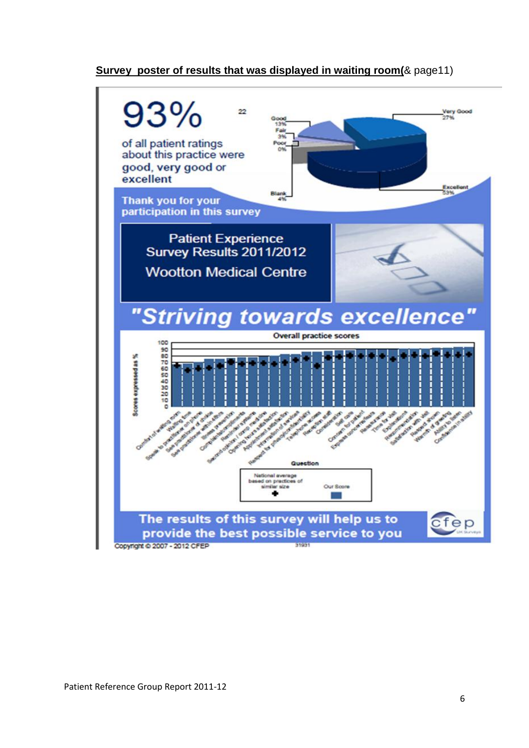#### **Survey poster of results that was displayed in waiting room(**& page11)

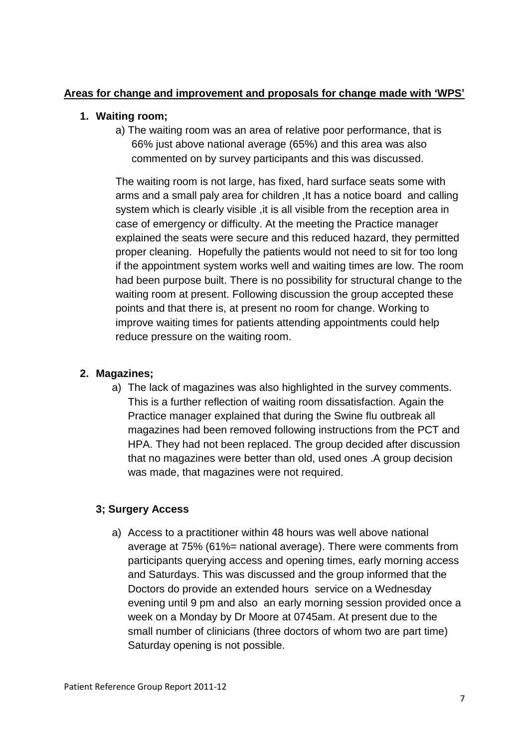#### **Areas for change and improvement and proposals for change made with 'WPS'**

#### **1. Waiting room;**

a) The waiting room was an area of relative poor performance, that is 66% just above national average (65%) and this area was also commented on by survey participants and this was discussed.

The waiting room is not large, has fixed, hard surface seats some with arms and a small paly area for children ,It has a notice board and calling system which is clearly visible , it is all visible from the reception area in case of emergency or difficulty. At the meeting the Practice manager explained the seats were secure and this reduced hazard, they permitted proper cleaning. Hopefully the patients would not need to sit for too long if the appointment system works well and waiting times are low. The room had been purpose built. There is no possibility for structural change to the waiting room at present. Following discussion the group accepted these points and that there is, at present no room for change. Working to improve waiting times for patients attending appointments could help reduce pressure on the waiting room.

#### **2. Magazines;**

a) The lack of magazines was also highlighted in the survey comments. This is a further reflection of waiting room dissatisfaction. Again the Practice manager explained that during the Swine flu outbreak all magazines had been removed following instructions from the PCT and HPA. They had not been replaced. The group decided after discussion that no magazines were better than old, used ones .A group decision was made, that magazines were not required.

#### **3; Surgery Access**

a) Access to a practitioner within 48 hours was well above national average at 75% (61%= national average). There were comments from participants querying access and opening times, early morning access and Saturdays. This was discussed and the group informed that the Doctors do provide an extended hours service on a Wednesday evening until 9 pm and also an early morning session provided once a week on a Monday by Dr Moore at 0745am. At present due to the small number of clinicians (three doctors of whom two are part time) Saturday opening is not possible.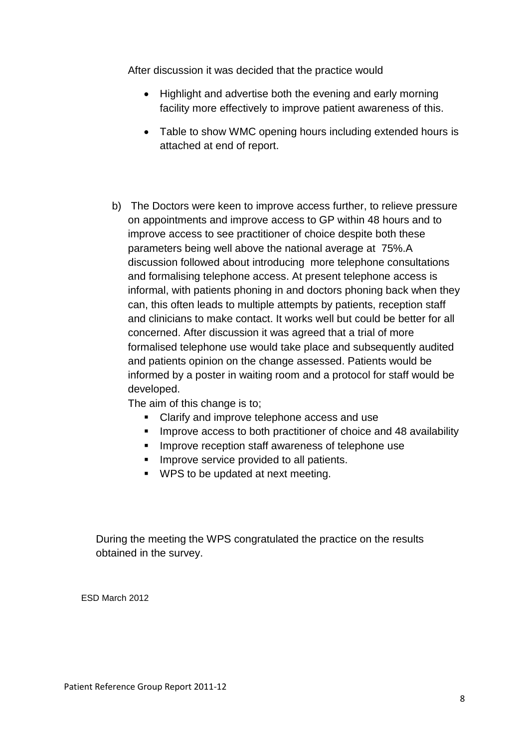After discussion it was decided that the practice would

- Highlight and advertise both the evening and early morning facility more effectively to improve patient awareness of this.
- Table to show WMC opening hours including extended hours is attached at end of report.
- b) The Doctors were keen to improve access further, to relieve pressure on appointments and improve access to GP within 48 hours and to improve access to see practitioner of choice despite both these parameters being well above the national average at 75%.A discussion followed about introducing more telephone consultations and formalising telephone access. At present telephone access is informal, with patients phoning in and doctors phoning back when they can, this often leads to multiple attempts by patients, reception staff and clinicians to make contact. It works well but could be better for all concerned. After discussion it was agreed that a trial of more formalised telephone use would take place and subsequently audited and patients opinion on the change assessed. Patients would be informed by a poster in waiting room and a protocol for staff would be developed.

The aim of this change is to;

- Clarify and improve telephone access and use
- **IMPROVE ACCESS to both practitioner of choice and 48 availability**
- **IMPROVE reception staff awareness of telephone use**
- **IMPROVE SERVICE provided to all patients.**
- **WPS to be updated at next meeting.**

During the meeting the WPS congratulated the practice on the results obtained in the survey.

ESD March 2012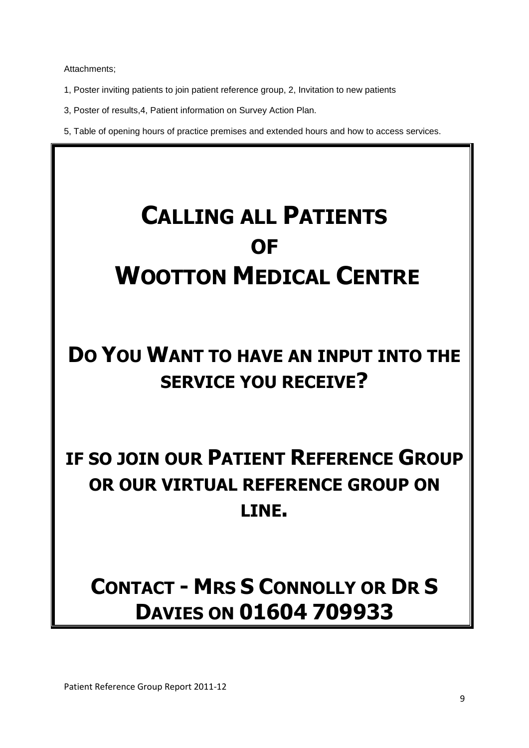Attachments;

- 1, Poster inviting patients to join patient reference group, 2, Invitation to new patients
- 3, Poster of results,4, Patient information on Survey Action Plan.
- 5, Table of opening hours of practice premises and extended hours and how to access services.

# **CALLING ALL PATIENTS OF WOOTTON MEDICAL CENTRE**

## **DO YOU WANT TO HAVE AN INPUT INTO THE SERVICE YOU RECEIVE?**

## **IF SO JOIN OUR PATIENT REFERENCE GROUP OR OUR VIRTUAL REFERENCE GROUP ON LINE.**

## **CONTACT - MRS S CONNOLLY OR DR S DAVIES ON 01604 709933**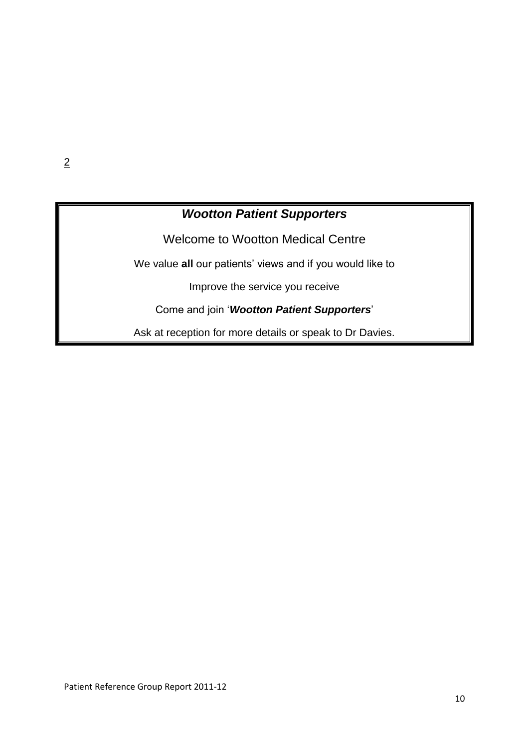### *Wootton Patient Supporters*

Welcome to Wootton Medical Centre

We value **all** our patients' views and if you would like to

Improve the service you receive

Come and join '*Wootton Patient Supporters*'

Ask at reception for more details or speak to Dr Davies.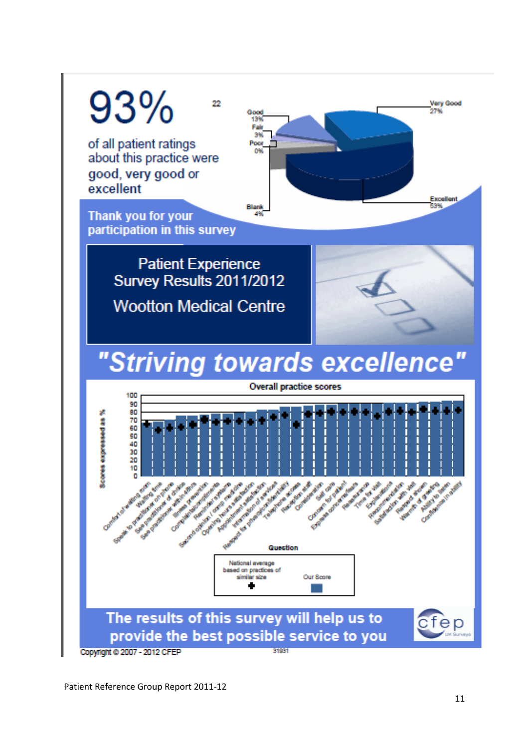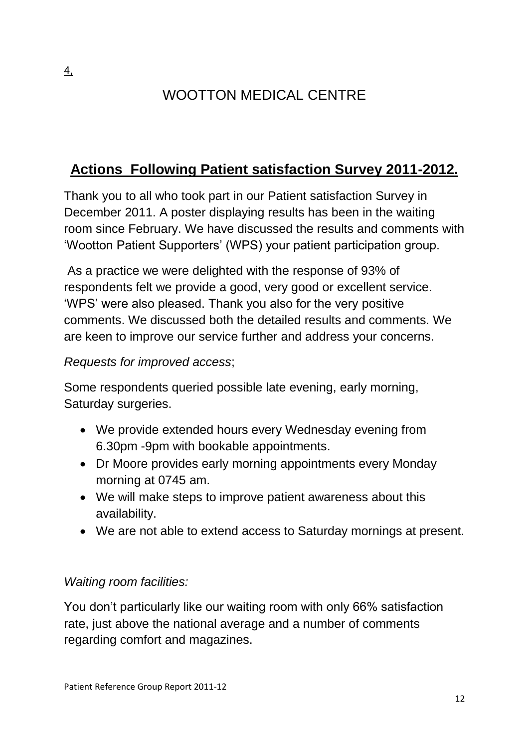## WOOTTON MEDICAL CENTRE

## **Actions Following Patient satisfaction Survey 2011-2012.**

Thank you to all who took part in our Patient satisfaction Survey in December 2011. A poster displaying results has been in the waiting room since February. We have discussed the results and comments with 'Wootton Patient Supporters' (WPS) your patient participation group.

As a practice we were delighted with the response of 93% of respondents felt we provide a good, very good or excellent service. 'WPS' were also pleased. Thank you also for the very positive comments. We discussed both the detailed results and comments. We are keen to improve our service further and address your concerns.

### *Requests for improved access*;

Some respondents queried possible late evening, early morning, Saturday surgeries.

- We provide extended hours every Wednesday evening from 6.30pm -9pm with bookable appointments.
- Dr Moore provides early morning appointments every Monday morning at 0745 am.
- We will make steps to improve patient awareness about this availability.
- We are not able to extend access to Saturday mornings at present.

### *Waiting room facilities:*

You don't particularly like our waiting room with only 66% satisfaction rate, just above the national average and a number of comments regarding comfort and magazines.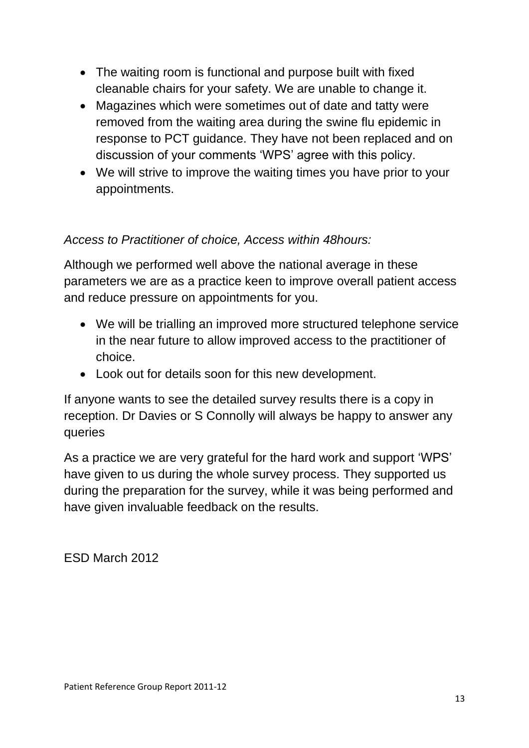- The waiting room is functional and purpose built with fixed cleanable chairs for your safety. We are unable to change it.
- Magazines which were sometimes out of date and tatty were removed from the waiting area during the swine flu epidemic in response to PCT guidance. They have not been replaced and on discussion of your comments 'WPS' agree with this policy.
- We will strive to improve the waiting times you have prior to your appointments.

#### *Access to Practitioner of choice, Access within 48hours:*

Although we performed well above the national average in these parameters we are as a practice keen to improve overall patient access and reduce pressure on appointments for you.

- We will be trialling an improved more structured telephone service in the near future to allow improved access to the practitioner of choice.
- Look out for details soon for this new development.

If anyone wants to see the detailed survey results there is a copy in reception. Dr Davies or S Connolly will always be happy to answer any queries

As a practice we are very grateful for the hard work and support 'WPS' have given to us during the whole survey process. They supported us during the preparation for the survey, while it was being performed and have given invaluable feedback on the results.

ESD March 2012